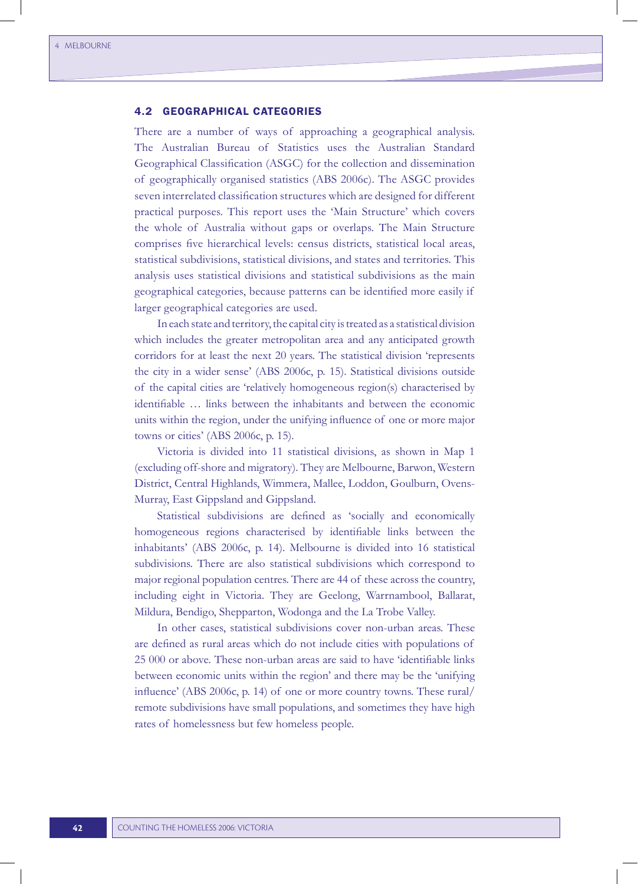# 4.2 GEOGRAPHICAL CATEGORIES

There are a number of ways of approaching a geographical analysis. The Australian Bureau of Statistics uses the Australian Standard Geographical Classification (ASGC) for the collection and dissemination of geographically organised statistics (ABS 2006c). The ASGC provides seven interrelated classification structures which are designed for different practical purposes. This report uses the 'Main Structure' which covers the whole of Australia without gaps or overlaps. The Main Structure comprises five hierarchical levels: census districts, statistical local areas, statistical subdivisions, statistical divisions, and states and territories. This analysis uses statistical divisions and statistical subdivisions as the main geographical categories, because patterns can be identified more easily if larger geographical categories are used.

In each state and territory, the capital city is treated as a statistical division which includes the greater metropolitan area and any anticipated growth corridors for at least the next 20 years. The statistical division 'represents the city in a wider sense' (ABS 2006c, p. 15). Statistical divisions outside of the capital cities are 'relatively homogeneous region(s) characterised by identifiable … links between the inhabitants and between the economic units within the region, under the unifying influence of one or more major towns or cities' (ABS 2006c, p. 15).

Victoria is divided into 11 statistical divisions, as shown in Map 1 (excluding off-shore and migratory). They are Melbourne, Barwon, Western District, Central Highlands, Wimmera, Mallee, Loddon, Goulburn, Ovens-Murray, East Gippsland and Gippsland.

Statistical subdivisions are defined as 'socially and economically homogeneous regions characterised by identifiable links between the inhabitants' (ABS 2006c, p. 14). Melbourne is divided into 16 statistical subdivisions. There are also statistical subdivisions which correspond to major regional population centres. There are 44 of these across the country, including eight in Victoria. They are Geelong, Warrnambool, Ballarat, Mildura, Bendigo, Shepparton, Wodonga and the La Trobe Valley.

In other cases, statistical subdivisions cover non-urban areas. These are defined as rural areas which do not include cities with populations of 25 000 or above. These non-urban areas are said to have 'identifiable links between economic units within the region' and there may be the 'unifying influence' (ABS 2006c, p. 14) of one or more country towns. These rural/ remote subdivisions have small populations, and sometimes they have high rates of homelessness but few homeless people.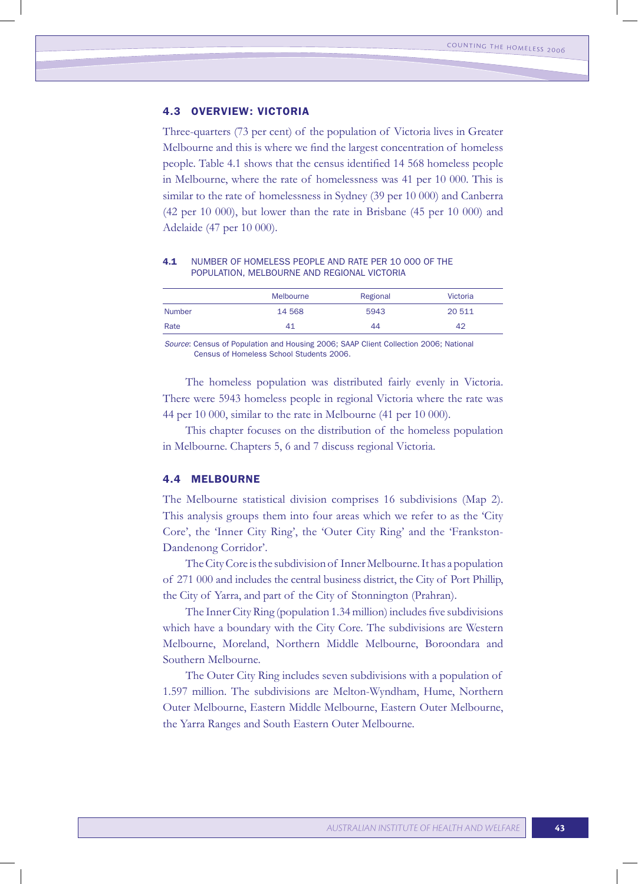# 4.3 OVERVIEW: VICTORIA

Three-quarters (73 per cent) of the population of Victoria lives in Greater Melbourne and this is where we find the largest concentration of homeless people. Table 4.1 shows that the census identified 14 568 homeless people in Melbourne, where the rate of homelessness was 41 per 10 000. This is similar to the rate of homelessness in Sydney (39 per 10 000) and Canberra (42 per 10 000), but lower than the rate in Brisbane (45 per 10 000) and Adelaide (47 per 10 000).

#### 4.1 NUMBER OF HOMELESS PEOPLE AND RATE PER 10 000 OF THE POPULATION, MELBOURNE AND REGIONAL VICTORIA

|               | Melbourne | Regional | <b>Victoria</b> |
|---------------|-----------|----------|-----------------|
| <b>Number</b> | 14 568    | 5943     | 20 511          |
| Rate          | 41        | 44       | 42              |

*Source*: Census of Population and Housing 2006; SAAP Client Collection 2006; National Census of Homeless School Students 2006.

The homeless population was distributed fairly evenly in Victoria. There were 5943 homeless people in regional Victoria where the rate was 44 per 10 000, similar to the rate in Melbourne (41 per 10 000).

This chapter focuses on the distribution of the homeless population in Melbourne. Chapters 5, 6 and 7 discuss regional Victoria.

# 4.4 MELBOURNE

The Melbourne statistical division comprises 16 subdivisions (Map 2). This analysis groups them into four areas which we refer to as the 'City Core', the 'Inner City Ring', the 'Outer City Ring' and the 'Frankston-Dandenong Corridor'.

The City Core is the subdivision of Inner Melbourne. It has a population of 271 000 and includes the central business district, the City of Port Phillip, the City of Yarra, and part of the City of Stonnington (Prahran).

The Inner City Ring (population 1.34 million) includes five subdivisions which have a boundary with the City Core. The subdivisions are Western Melbourne, Moreland, Northern Middle Melbourne, Boroondara and Southern Melbourne.

The Outer City Ring includes seven subdivisions with a population of 1.597 million. The subdivisions are Melton-Wyndham, Hume, Northern Outer Melbourne, Eastern Middle Melbourne, Eastern Outer Melbourne, the Yarra Ranges and South Eastern Outer Melbourne.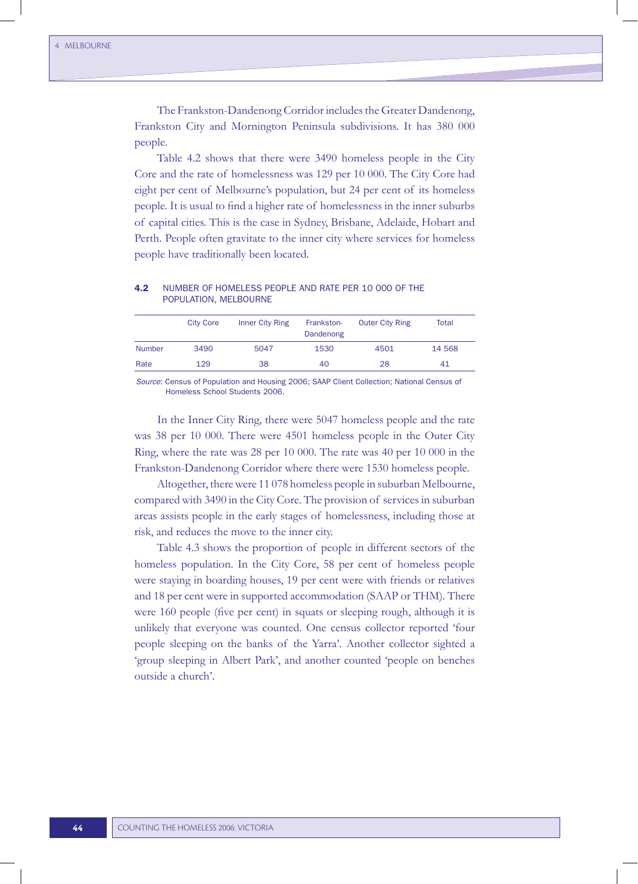The Frankston-Dandenong Corridor includes the Greater Dandenong, Frankston City and Mornington Peninsula subdivisions. It has 380 000 people.

Table 4.2 shows that there were 3490 homeless people in the City Core and the rate of homelessness was 129 per 10 000. The City Core had eight per cent of Melbourne's population, but 24 per cent of its homeless people. It is usual to find a higher rate of homelessness in the inner suburbs of capital cities. This is the case in Sydney, Brisbane, Adelaide, Hobart and Perth. People often gravitate to the inner city where services for homeless people have traditionally been located.

# 4.2 NUMBER OF HOMELESS PEOPLE AND RATE PER 10 000 OF THE POPULATION, MELBOURNE

|               | <b>City Core</b> | Inner City Ring | Frankston-<br>Dandenong | <b>Outer City Ring</b> | Total  |
|---------------|------------------|-----------------|-------------------------|------------------------|--------|
| <b>Number</b> | 3490             | 5047            | 1530                    | 4501                   | 14 568 |
| Rate          | 129              | 38              | 40                      | 28                     | 41     |

*Source*: Census of Population and Housing 2006; SAAP Client Collection; National Census of Homeless School Students 2006.

In the Inner City Ring, there were 5047 homeless people and the rate was 38 per 10 000. There were 4501 homeless people in the Outer City Ring, where the rate was 28 per 10 000. The rate was 40 per 10 000 in the Frankston-Dandenong Corridor where there were 1530 homeless people.

Altogether, therewere 11 078 homeless people in suburban Melbourne, compared with 3490 in the City Core. The provision of services in suburban areas assists people in the early stages of homelessness, including those at risk, and reduces the move to the inner city.

Table 4.3 shows the proportion of people in different sectors of the homeless population. In the City Core, 58 per cent of homeless people were staying in boarding houses, 19 per cent were with friends or relatives and 18 per cent were in supported accommodation (SAAP or THM). There were 160 people (five per cent) in squats or sleeping rough, although it is unlikely that everyone was counted. One census collector reported 'four people sleeping on the banks of the Yarra'. Another collector sighted a 'group sleeping in Albert Park', and another counted 'people on benches outside a church'.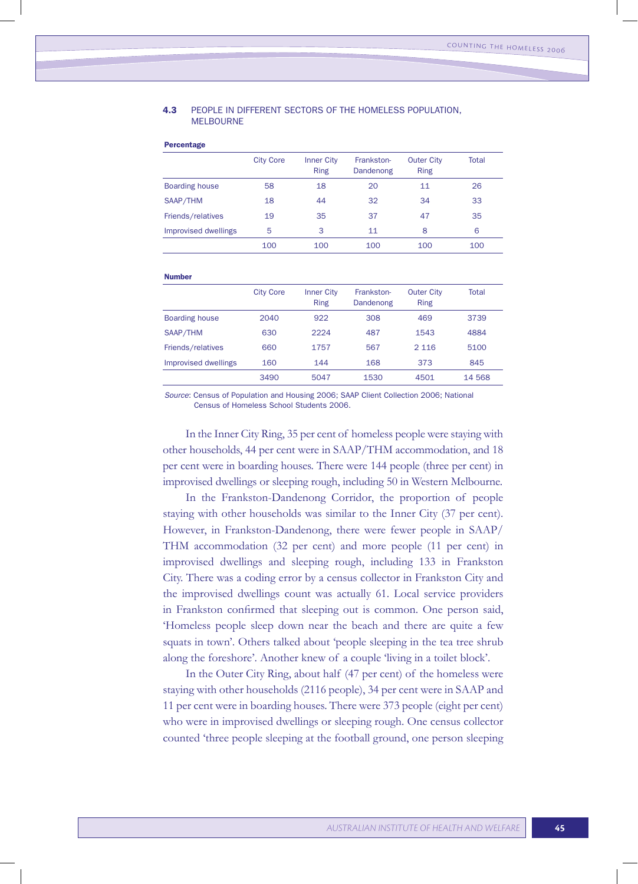#### 4.3 PEOPLE IN DIFFERENT SECTORS OF THE HOMELESS POPULATION, MEL BOURNE

Percentage

|                       | <b>City Core</b> | <b>Inner City</b><br><b>Ring</b> | Frankston-<br>Dandenong | <b>Outer City</b><br><b>Ring</b> | <b>Total</b> |
|-----------------------|------------------|----------------------------------|-------------------------|----------------------------------|--------------|
| <b>Boarding house</b> | 58               | 18                               | 20                      | 11                               | 26           |
| SAAP/THM              | 18               | 44                               | 32                      | 34                               | 33           |
| Friends/relatives     | 19               | 35                               | 37                      | 47                               | 35           |
| Improvised dwellings  | 5                | 3                                | 11                      | 8                                | 6            |
|                       | 100              | 100                              | 100                     | 100                              | 100          |
| <b>Number</b>         |                  |                                  |                         |                                  |              |
|                       | <b>City Core</b> | <b>Inner City</b><br><b>Ring</b> | Frankston-<br>Dandenong | <b>Outer City</b><br><b>Ring</b> | Total        |
| <b>Boarding house</b> | 2040             | 922                              | 308                     | 469                              | 3739         |
| SAAP/THM              | 630              | 2224                             | 487                     | 1543                             | 4884         |
| Friends/relatives     | 660              | 1757                             | 567                     | 2 1 1 6                          | 5100         |
| Improvised dwellings  | 160              | 144                              | 168                     | 373                              | 845          |
|                       | 3490             | 5047                             | 1530                    | 4501                             | 14 5 68      |
|                       |                  |                                  |                         |                                  |              |

*Source*: Census of Population and Housing 2006; SAAP Client Collection 2006; National Census of Homeless School Students 2006.

In the Inner City Ring, 35 per cent of homeless people were staying with other households, 44 per cent were in SAAP/THM accommodation, and 18 per cent were in boarding houses. There were 144 people (three per cent) in improvised dwellings or sleeping rough, including 50 in Western Melbourne.

In the Frankston-Dandenong Corridor, the proportion of people staying with other households was similar to the Inner City (37 per cent). However, in Frankston-Dandenong, there were fewer people in SAAP/ THM accommodation (32 per cent) and more people (11 per cent) in improvised dwellings and sleeping rough, including 133 in Frankston City. There was a coding error by a census collector in Frankston City and the improvised dwellings count was actually 61. Local service providers in Frankston confirmed that sleeping out is common. One person said, 'Homeless people sleep down near the beach and there are quite a few squats in town'. Others talked about 'people sleeping in the tea tree shrub along the foreshore'. Another knew of a couple 'living in a toilet block'.

In the Outer City Ring, about half (47 per cent) of the homeless were staying with other households (2116 people), 34 per cent were in SAAP and 11 per cent were in boarding houses. There were 373 people (eight per cent) who were in improvised dwellings or sleeping rough. One census collector counted 'three people sleeping at the football ground, one person sleeping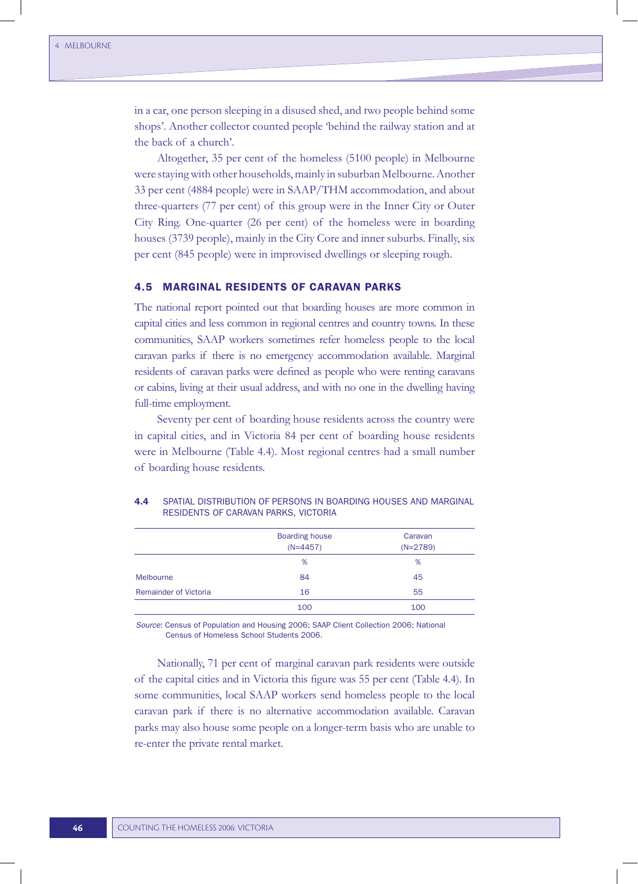in a car, one person sleeping in a disused shed, and two people behind some shops'. Another collector counted people 'behind the railway station and at the back of a church'.

Altogether, 35 per cent of the homeless (5100 people) in Melbourne were staying with other households, mainly in suburban Melbourne. Another 33 per cent (4884 people) were in SAAP/THM accommodation, and about three-quarters (77 per cent) of this group were in the Inner City or Outer City Ring. One-quarter (26 per cent) of the homeless were in boarding houses (3739 people), mainly in the City Core and inner suburbs. Finally, six per cent (845 people) were in improvised dwellings or sleeping rough.

# 4.5 MARGINAL RESIDENTS OF CARAVAN PARKS

The national report pointed out that boarding houses are more common in capital cities and less common in regional centres and country towns. In these communities, SAAP workers sometimes refer homeless people to the local caravan parks if there is no emergency accommodation available. Marginal residents of caravan parks were defined as people who were renting caravans or cabins, living at their usual address, and with no one in the dwelling having full-time employment.

Seventy per cent of boarding house residents across the country were in capital cities, and in Victoria 84 per cent of boarding house residents were in Melbourne (Table 4.4). Most regional centres had a small number of boarding house residents.

|                              | <b>Boarding house</b><br>$(N=4457)$ | Caravan<br>$(N=2789)$ |
|------------------------------|-------------------------------------|-----------------------|
|                              | %                                   | %                     |
| Melbourne                    | 84                                  | 45                    |
| <b>Remainder of Victoria</b> | 16                                  | 55                    |
|                              | 100                                 | 100                   |

#### 4.4 SPATIAL DISTRIBUTION OF PERSONS IN BOARDING HOUSES AND MARGINAL RESIDENTS OF CARAVAN PARKS, VICTORIA

*Source*: Census of Population and Housing 2006; SAAP Client Collection 2006; National Census of Homeless School Students 2006.

Nationally, 71 per cent of marginal caravan park residents were outside of the capital cities and in Victoria this figure was 55 per cent (Table 4.4). In some communities, local SAAP workers send homeless people to the local caravan park if there is no alternative accommodation available. Caravan parks may also house some people on a longer-term basis who are unable to re-enter the private rental market.